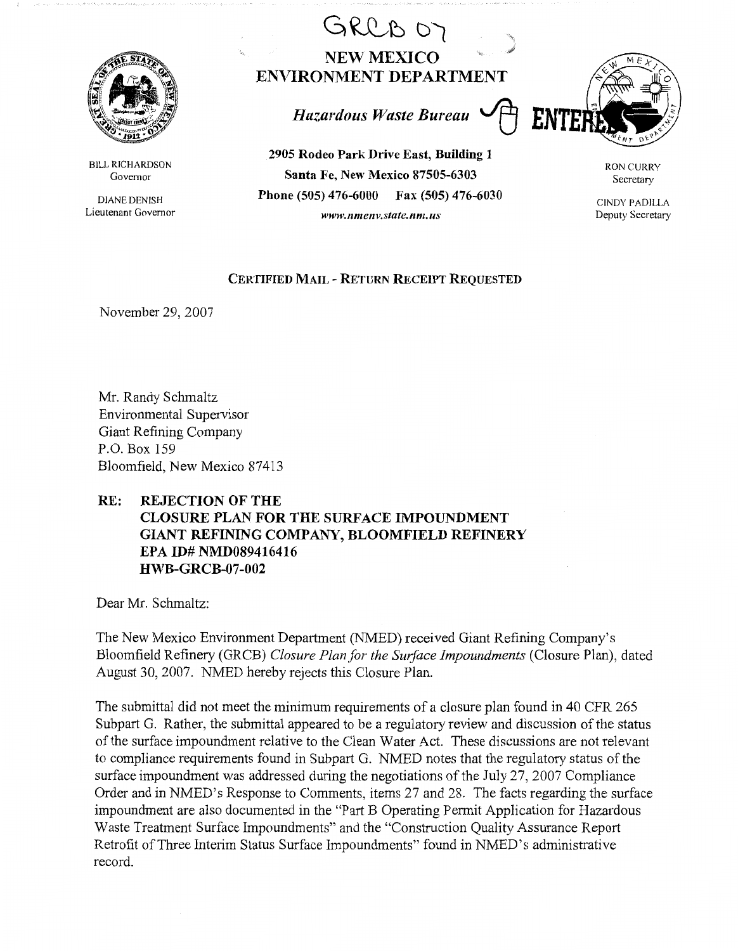

BILL RICHARDSON Governor

DIANE DENISH Lieutenant Governor

## GRCB OT **NEW MEXICO ENVIRONMENT DEPARTMENT**

*Hazardous Waste Bureau* ~

**2905 Rodeo Park Drive East, Building 1 Santa Fe, New Mexico 87505-6303 Phone (505) 476-6000 Fax (505) 476-6030**  *www.11me11v.state. nm. us* 



RON CURRY Secretary

CINDY PADILLA Deputy Secretary

## **CERTIFIED MAIL** - **RETURN RECEIPT REQUESTED**

November 29, 2007

Mr. Randy Schmaltz Environmental Supervisor Giant Refining Company P.O. Box 159 Bloomfield, New Mexico 87413

## **RE: REJECTION OF THE**

## **CLOSURE PLAN FOR THE SURFACE IMPOUNDMENT GIANT REFINING COMPANY, BLOOMFIELD REFINERY EPA ID# NMD089416416 HWB-GRCB-07-002**

Dear Mr. Schmaltz:

The New Mexico Environment Department (NMED) received Giant Refining Company's Bloomfield Refinery (GRCB) *Closure Plan for the Swface Impoundments* (Closure Plan), dated August 30, 2007. NMED hereby rejects this Closure Plan.

The submittal did not meet the minimum requirements of a closure plan found in 40 CPR 265 Subpart G. Rather, the submittal appeared to be a regulatory review and discussion of the status of the surface impoundment relative to the Clean Water Act. These discussions are not relevant to compliance requirements found in Subpart G. NMED notes that the regulatory status of the surface impoundment was addressed during the negotiations of the July 27, 2007 Compliance Order and in NMED's Response to Comments, items 27 and 28. The facts regarding the surface impoundment are also documented in the "Part B Operating Permit Application for Hazardous Waste Treatment Surface Impoundments" and the "Construction Quality Assurance Report Retrofit of Three Interim Status Surface Impoundments" found in NMED's administrative record.